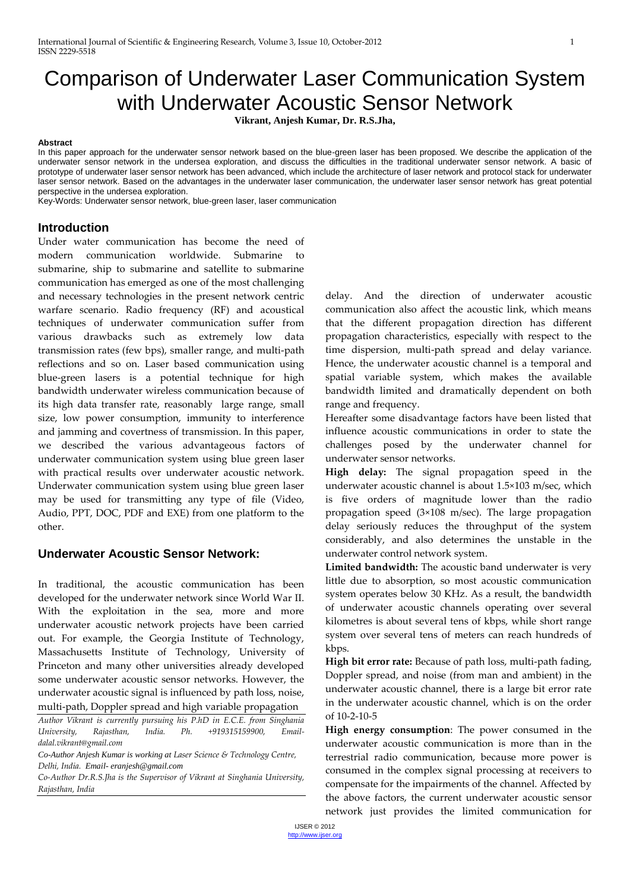# Comparison of Underwater Laser Communication System with Underwater Acoustic Sensor Network

**Vikrant, Anjesh Kumar, Dr. R.S.Jha,** 

#### **Abstract**

In this paper approach for the underwater sensor network based on the blue-green laser has been proposed. We describe the application of the underwater sensor network in the undersea exploration, and discuss the difficulties in the traditional underwater sensor network. A basic of prototype of underwater laser sensor network has been advanced, which include the architecture of laser network and protocol stack for underwater laser sensor network. Based on the advantages in the underwater laser communication, the underwater laser sensor network has great potential perspective in the undersea exploration.

Key-Words: Underwater sensor network, blue-green laser, laser communication

### **Introduction**

Under water communication has become the need of modern communication worldwide. Submarine to submarine, ship to submarine and satellite to submarine communication has emerged as one of the most challenging and necessary technologies in the present network centric warfare scenario. Radio frequency (RF) and acoustical techniques of underwater communication suffer from various drawbacks such as extremely low data transmission rates (few bps), smaller range, and multi-path reflections and so on. Laser based communication using blue-green lasers is a potential technique for high bandwidth underwater wireless communication because of its high data transfer rate, reasonably large range, small size, low power consumption, immunity to interference and jamming and covertness of transmission. In this paper, we described the various advantageous factors of underwater communication system using blue green laser with practical results over underwater acoustic network. Underwater communication system using blue green laser may be used for transmitting any type of file (Video, Audio, PPT, DOC, PDF and EXE) from one platform to the other.

## **Underwater Acoustic Sensor Network:**

In traditional, the acoustic communication has been developed for the underwater network since World War II. With the exploitation in the sea, more and more underwater acoustic network projects have been carried out. For example, the Georgia Institute of Technology, Massachusetts Institute of Technology, University of Princeton and many other universities already developed some underwater acoustic sensor networks. However, the underwater acoustic signal is influenced by path loss, noise, multi-path, Doppler spread and high variable propagation

*Author Vikrant is currently pursuing his P.hD in E.C.E. from Singhania University, Rajasthan, India. Ph. +919315159900, Emaildalal.vikrant@gmail.com*

*Co-Author Anjesh Kumar is working at Laser Science & Technology Centre, Delhi, India. Email- eranjesh@gmail.com*

*Co-Author Dr.R.S.Jha is the Supervisor of Vikrant at Singhania University, Rajasthan, India*

delay. And the direction of underwater acoustic communication also affect the acoustic link, which means that the different propagation direction has different propagation characteristics, especially with respect to the time dispersion, multi-path spread and delay variance. Hence, the underwater acoustic channel is a temporal and spatial variable system, which makes the available bandwidth limited and dramatically dependent on both range and frequency.

Hereafter some disadvantage factors have been listed that influence acoustic communications in order to state the challenges posed by the underwater channel for underwater sensor networks.

**High delay:** The signal propagation speed in the underwater acoustic channel is about 1.5×103 m/sec, which is five orders of magnitude lower than the radio propagation speed (3×108 m/sec). The large propagation delay seriously reduces the throughput of the system considerably, and also determines the unstable in the underwater control network system.

**Limited bandwidth:** The acoustic band underwater is very little due to absorption, so most acoustic communication system operates below 30 KHz. As a result, the bandwidth of underwater acoustic channels operating over several kilometres is about several tens of kbps, while short range system over several tens of meters can reach hundreds of kbps.

**High bit error rate:** Because of path loss, multi-path fading, Doppler spread, and noise (from man and ambient) in the underwater acoustic channel, there is a large bit error rate in the underwater acoustic channel, which is on the order of 10-2-10-5

**High energy consumption**: The power consumed in the underwater acoustic communication is more than in the terrestrial radio communication, because more power is consumed in the complex signal processing at receivers to compensate for the impairments of the channel. Affected by the above factors, the current underwater acoustic sensor network just provides the limited communication for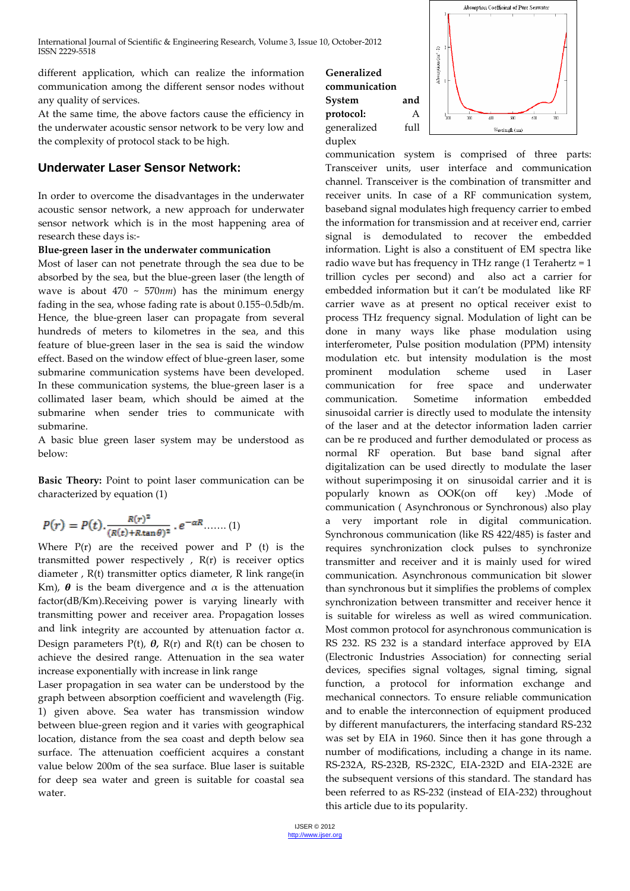International Journal of Scientific & Engineering Research, Volume 3, Issue 10, October-2012 ISSN 2229-5518

different application, which can realize the information communication among the different sensor nodes without any quality of services.

At the same time, the above factors cause the efficiency in the underwater acoustic sensor network to be very low and the complexity of protocol stack to be high.

# **Underwater Laser Sensor Network:**

In order to overcome the disadvantages in the underwater acoustic sensor network, a new approach for underwater sensor network which is in the most happening area of research these days is:-

#### **Blue-green laser in the underwater communication**

Most of laser can not penetrate through the sea due to be absorbed by the sea, but the blue-green laser (the length of wave is about 470 ~ 570*nm*) has the minimum energy fading in the sea, whose fading rate is about 0.155~0.5db/m. Hence, the blue-green laser can propagate from several hundreds of meters to kilometres in the sea, and this feature of blue-green laser in the sea is said the window effect. Based on the window effect of blue-green laser, some submarine communication systems have been developed. In these communication systems, the blue-green laser is a collimated laser beam, which should be aimed at the submarine when sender tries to communicate with submarine.

A basic blue green laser system may be understood as below:

Basic Theory: Point to point laser communication can be characterized by equation (1)

$$
P(r) = P(t) \cdot \frac{R(r)^2}{(R(t) + R \tan \theta)^2} \cdot e^{-\alpha R} \dots \dots (1)
$$

Where  $P(r)$  are the received power and  $P$  (t) is the transmitted power respectively , R(r) is receiver optics diameter , R(t) transmitter optics diameter, R link range(in Km),  $\theta$  is the beam divergence and  $\alpha$  is the attenuation factor(dB/Km).Receiving power is varying linearly with transmitting power and receiver area. Propagation losses and link integrity are accounted by attenuation factor  $\alpha$ . Design parameters P(t), *θ,* R(r) and R(t) can be chosen to achieve the desired range. Attenuation in the sea water increase exponentially with increase in link range

Laser propagation in sea water can be understood by the graph between absorption coefficient and wavelength (Fig. 1) given above. Sea water has transmission window between blue-green region and it varies with geographical location, distance from the sea coast and depth below sea surface. The attenuation coefficient acquires a constant value below 200m of the sea surface. Blue laser is suitable for deep sea water and green is suitable for coastal sea water.





communication system is comprised of three parts: Transceiver units, user interface and communication channel. Transceiver is the combination of transmitter and receiver units. In case of a RF communication system, baseband signal modulates high frequency carrier to embed the information for transmission and at receiver end, carrier signal is demodulated to recover the embedded information. Light is also a constituent of EM spectra like radio wave but has frequency in THz range (1 Terahertz = 1 trillion cycles per second) and also act a carrier for embedded information but it can't be modulated like RF carrier wave as at present no optical receiver exist to process THz frequency signal. Modulation of light can be done in many ways like phase modulation using interferometer, Pulse position modulation (PPM) intensity modulation etc. but intensity modulation is the most prominent modulation scheme used in Laser communication for free space and underwater communication. Sometime information embedded sinusoidal carrier is directly used to modulate the intensity of the laser and at the detector information laden carrier can be re produced and further demodulated or process as normal RF operation. But base band signal after digitalization can be used directly to modulate the laser without superimposing it on sinusoidal carrier and it is popularly known as OOK(on off key) .Mode of communication ( Asynchronous or Synchronous) also play a very important role in digital communication. Synchronous communication (like RS 422/485) is faster and requires synchronization clock pulses to synchronize transmitter and receiver and it is mainly used for wired communication. Asynchronous communication bit slower than synchronous but it simplifies the problems of complex synchronization between transmitter and receiver hence it is suitable for wireless as well as wired communication. Most common protocol for asynchronous communication is RS 232. RS 232 is a standard interface approved by EIA (Electronic Industries Association) for connecting serial devices, specifies signal voltages, signal timing, signal function, a protocol for information exchange and mechanical connectors. To ensure reliable communication and to enable the interconnection of equipment produced by different manufacturers, the interfacing standard RS-232 was set by EIA in 1960. Since then it has gone through a number of modifications, including a change in its name. RS-232A, RS-232B, RS-232C, EIA-232D and EIA-232E are the subsequent versions of this standard. The standard has been referred to as RS-232 (instead of EIA-232) throughout this article due to its popularity.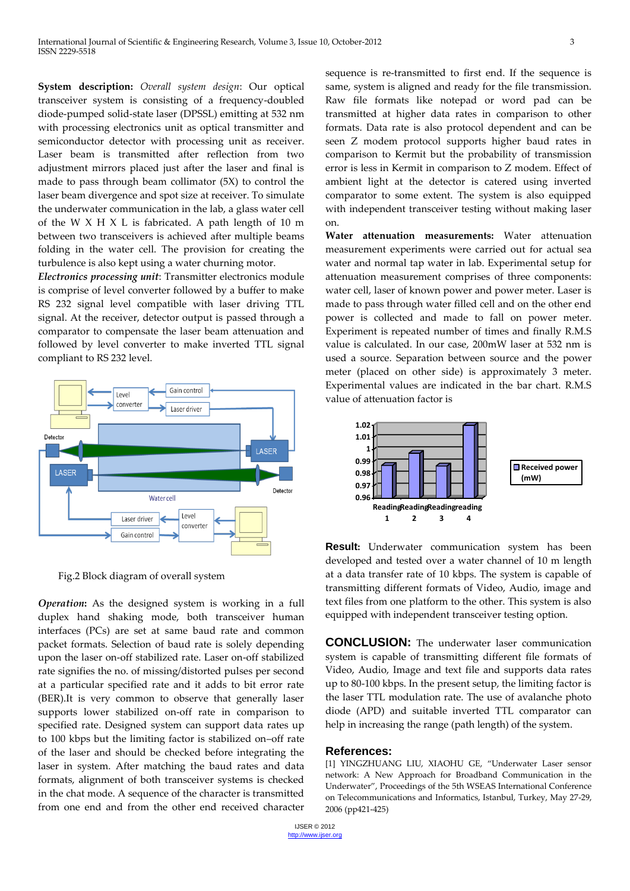**System description:** *Overall system design*: Our optical transceiver system is consisting of a frequency-doubled diode-pumped solid-state laser (DPSSL) emitting at 532 nm with processing electronics unit as optical transmitter and semiconductor detector with processing unit as receiver. Laser beam is transmitted after reflection from two adjustment mirrors placed just after the laser and final is made to pass through beam collimator (5X) to control the laser beam divergence and spot size at receiver. To simulate the underwater communication in the lab, a glass water cell of the W  $X$  H  $X$  L is fabricated. A path length of 10 m between two transceivers is achieved after multiple beams folding in the water cell. The provision for creating the turbulence is also kept using a water churning motor.

*Electronics processing unit*: Transmitter electronics module is comprise of level converter followed by a buffer to make RS 232 signal level compatible with laser driving TTL signal. At the receiver, detector output is passed through a comparator to compensate the laser beam attenuation and followed by level converter to make inverted TTL signal compliant to RS 232 level.



Fig.2 Block diagram of overall system

*Operation***:** As the designed system is working in a full duplex hand shaking mode, both transceiver human interfaces (PCs) are set at same baud rate and common packet formats. Selection of baud rate is solely depending upon the laser on-off stabilized rate. Laser on-off stabilized rate signifies the no. of missing/distorted pulses per second at a particular specified rate and it adds to bit error rate (BER).It is very common to observe that generally laser supports lower stabilized on-off rate in comparison to specified rate. Designed system can support data rates up to 100 kbps but the limiting factor is stabilized on–off rate of the laser and should be checked before integrating the laser in system. After matching the baud rates and data formats, alignment of both transceiver systems is checked in the chat mode. A sequence of the character is transmitted from one end and from the other end received character sequence is re-transmitted to first end. If the sequence is same, system is aligned and ready for the file transmission. Raw file formats like notepad or word pad can be transmitted at higher data rates in comparison to other formats. Data rate is also protocol dependent and can be seen Z modem protocol supports higher baud rates in comparison to Kermit but the probability of transmission error is less in Kermit in comparison to Z modem. Effect of ambient light at the detector is catered using inverted comparator to some extent. The system is also equipped with independent transceiver testing without making laser on.

**Water attenuation measurements:** Water attenuation measurement experiments were carried out for actual sea water and normal tap water in lab. Experimental setup for attenuation measurement comprises of three components: water cell, laser of known power and power meter. Laser is made to pass through water filled cell and on the other end power is collected and made to fall on power meter. Experiment is repeated number of times and finally R.M.S value is calculated. In our case, 200mW laser at 532 nm is used a source. Separation between source and the power meter (placed on other side) is approximately 3 meter. Experimental values are indicated in the bar chart. R.M.S value of attenuation factor is



**Result:** Underwater communication system has been developed and tested over a water channel of 10 m length at a data transfer rate of 10 kbps. The system is capable of transmitting different formats of Video, Audio, image and text files from one platform to the other. This system is also equipped with independent transceiver testing option.

**CONCLUSION:** The underwater laser communication system is capable of transmitting different file formats of Video, Audio, Image and text file and supports data rates up to 80-100 kbps. In the present setup, the limiting factor is the laser TTL modulation rate. The use of avalanche photo diode (APD) and suitable inverted TTL comparator can help in increasing the range (path length) of the system.

#### **References:**

[1] YINGZHUANG LIU, XIAOHU GE, "Underwater Laser sensor network: A New Approach for Broadband Communication in the Underwater", Proceedings of the 5th WSEAS International Conference on Telecommunications and Informatics, Istanbul, Turkey, May 27-29, 2006 (pp421-425)